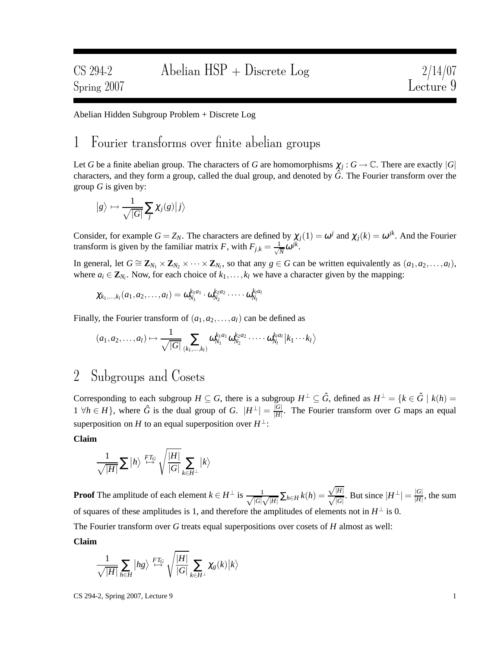Abelian Hidden Subgroup Problem + Discrete Log

## 1 Fourier transforms over finite abelian groups

Let *G* be a finite abelian group. The characters of *G* are homomorphisms  $\chi_j: G \to \mathbb{C}$ . There are exactly  $|G|$ characters, and they form a group, called the dual group, and denoted by *G*ˆ. The Fourier transform over the group *G* is given by:

$$
|g\rangle \mapsto \frac{1}{\sqrt{|G|}}\sum_j \chi_j(g)|j\rangle
$$

Consider, for example  $G = Z_N$ . The characters are defined by  $\chi_j(1) = \omega^j$  and  $\chi_j(k) = \omega^{jk}$ . And the Fourier transform is given by the familiar matrix *F*, with  $F_{j,k} = \frac{1}{\sqrt{k}}$  $\frac{1}{N} \omega^{jk}$ .

In general, let  $G \cong \mathbb{Z}_{N_1} \times \mathbb{Z}_{N_2} \times \cdots \times \mathbb{Z}_{N_l}$ , so that any  $g \in G$  can be written equivalently as  $(a_1, a_2, \ldots, a_l)$ , where  $a_i \in \mathbf{Z}_{N_i}$ . Now, for each choice of  $k_1, \ldots, k_l$  we have a character given by the mapping:

$$
\chi_{k_1,\ldots,k_l}(a_1,a_2,\ldots,a_l)=\omega_{N_1}^{k_1a_1}\cdot \omega_{N_2}^{k_2a_2}\cdot \cdots \cdot \omega_{N_l}^{k_la_l}
$$

Finally, the Fourier transform of  $(a_1, a_2, \ldots, a_l)$  can be defined as

$$
(a_1,a_2,\ldots,a_l)\mapsto\frac{1}{\sqrt{|G|}}\sum_{(k_1,\ldots,k_l)}\omega_{N_1}^{k_1a_1}\omega_{N_2}^{k_2a_2}\cdots\cdots\omega_{N_l}^{k_la_l}\big|k_1\cdots k_l\big\rangle
$$

# 2 Subgroups and Cosets

Corresponding to each subgroup  $H \subseteq G$ , there is a subgroup  $H^{\perp} \subseteq \hat{G}$ , defined as  $H^{\perp} = \{k \in \hat{G} \mid k(h) = 0\}$  $1 \forall h \in H$ , where  $\hat{G}$  is the dual group of *G*.  $|H^{\perp}| = \frac{|G|}{|H|}$  $\frac{|G|}{|H|}$ . The Fourier transform over *G* maps an equal superposition on *H* to an equal superposition over  $H^{\perp}$ :

#### **Claim**

$$
\frac{1}{\sqrt{|H|}}\sum |h\rangle \stackrel{FT_G}{\mapsto} \sqrt{\frac{|H|}{|G|}} \sum_{k\in H^{\perp}} |k\rangle
$$

**Proof** The amplitude of each element  $k \in H^{\perp}$  is  $\frac{1}{\sqrt{|G|}}$ .  $\frac{1}{|G| \sqrt{|H|}} \sum_{h \in H} k(h) =$  $\frac{\sqrt{|H|}}{\sqrt{|G|}}$ . But since  $|H^{\perp}| = \frac{|G|}{|H|}$  $\frac{|G|}{|H|}$ , the sum of squares of these amplitudes is 1, and therefore the amplitudes of elements not in  $H^{\perp}$  is 0. The Fourier transform over *G* treats equal superpositions over cosets of *H* almost as well:

**Claim**

$$
\frac{1}{\sqrt{|H|}}\sum_{h\in H}\ket{hg}\stackrel{FT_G}{\mapsto}\sqrt{\frac{|H|}{|G|}}\sum_{k\in H^{\perp}}\chi_g(k)\ket{k}
$$

 $\text{CS } 294-2, \text{ Spring } 2007, \text{ Lecture } 9$  1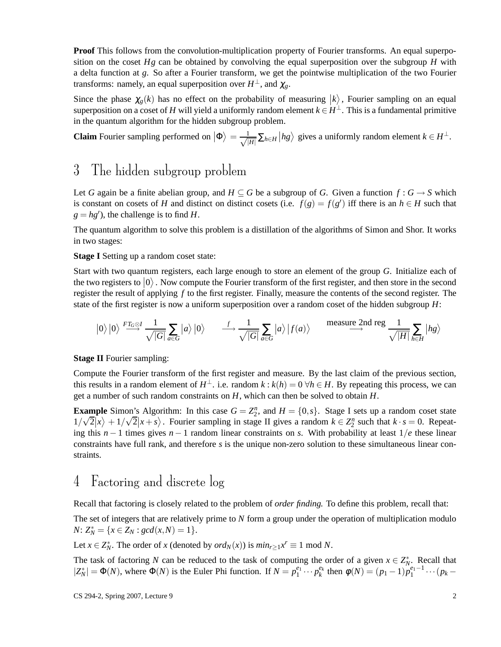**Proof** This follows from the convolution-multiplication property of Fourier transforms. An equal superposition on the coset  $Hg$  can be obtained by convolving the equal superposition over the subgroup  $H$  with a delta function at *g*. So after a Fourier transform, we get the pointwise multiplication of the two Fourier transforms: namely, an equal superposition over  $H^{\perp}$ , and  $\chi_{g}$ .

Since the phase  $\chi_g(k)$  has no effect on the probability of measuring  $|k\rangle$ , Fourier sampling on an equal superposition on a coset of *H* will yield a uniformly random element  $k \in H^{\perp}$ . This is a fundamental primitive in the quantum algorithm for the hidden subgroup problem.

**Claim** Fourier sampling performed on  $|\Phi\rangle = \frac{1}{\sqrt{l}}$  $\frac{1}{|H|}$ ∑<sub>*h*∈*H*</sub>  $\big| hg\big>$  gives a uniformly random element  $k \in H^{\perp}$ .

## 3 The hidden subgroup problem

Let *G* again be a finite abelian group, and  $H \subseteq G$  be a subgroup of *G*. Given a function  $f : G \to S$  which is constant on cosets of *H* and distinct on distinct cosets (i.e.  $f(g) = f(g')$  iff there is an  $h \in H$  such that  $g = hg'$ ), the challenge is to find *H*.

The quantum algorithm to solve this problem is a distillation of the algorithms of Simon and Shor. It works in two stages:

**Stage I** Setting up a random coset state:

Start with two quantum registers, each large enough to store an element of the group *G*. Initialize each of the two registers to  $|0\rangle$ . Now compute the Fourier transform of the first register, and then store in the second register the result of applying *f* to the first register. Finally, measure the contents of the second register. The state of the first register is now a uniform superposition over a random coset of the hidden subgroup *H*:

$$
|0\rangle |0\rangle \stackrel{FT_G \otimes I}{\longrightarrow} \frac{1}{\sqrt{|G|}} \sum_{a \in G} |a\rangle |0\rangle \qquad \stackrel{f}{\longrightarrow} \frac{1}{\sqrt{|G|}} \sum_{a \in G} |a\rangle |f(a)\rangle \qquad \stackrel{\text{measure 2nd reg}}{\longrightarrow} \frac{1}{\sqrt{|H|}} \sum_{h \in H} |hg\rangle
$$

**Stage II** Fourier sampling:

Compute the Fourier transform of the first register and measure. By the last claim of the previous section, this results in a random element of  $H^{\perp}$ , i.e. random  $k : k(h) = 0 \ \forall h \in H$ . By repeating this process, we can get a number of such random constraints on *H*, which can then be solved to obtain *H*.

**Example** Simon's Algorithm: In this case  $G = Z_2^n$ , and  $H = \{0, s\}$ . Stage I sets up a random coset state  $1/\sqrt{2}|x\rangle + 1/\sqrt{2}|x + s\rangle$ . Fourier sampling in stage II gives a random  $k \in \mathbb{Z}_2^n$  such that  $k \cdot s = 0$ . Repeating this  $n-1$  times gives  $n-1$  random linear constraints on *s*. With probability at least  $1/e$  these linear constraints have full rank, and therefore *s* is the unique non-zero solution to these simultaneous linear constraints.

# 4 Factoring and discrete log

Recall that factoring is closely related to the problem of *order finding.* To define this problem, recall that:

The set of integers that are relatively prime to *N* form a group under the operation of multiplication modulo *N*:  $Z_N^* = \{x \in Z_N : gcd(x,N) = 1\}.$ 

Let *x*  $\in Z_N^*$ . The order of *x* (denoted by *ord<sub>N</sub>*(*x*)) is  $min_{r \geq 1} x^r \equiv 1 \text{ mod } N$ .

The task of factoring *N* can be reduced to the task of computing the order of a given  $x \in Z_N^*$ . Recall that  $|Z_N^*| = \Phi(N)$ , where  $\Phi(N)$  is the Euler Phi function. If  $N = p_1^{e_1} \cdots p_k^{e_k}$  then  $\phi(N) = (p_1 - 1)p_1^{e_1-1} \cdots (p_k - 1)p_k^{e_k}$